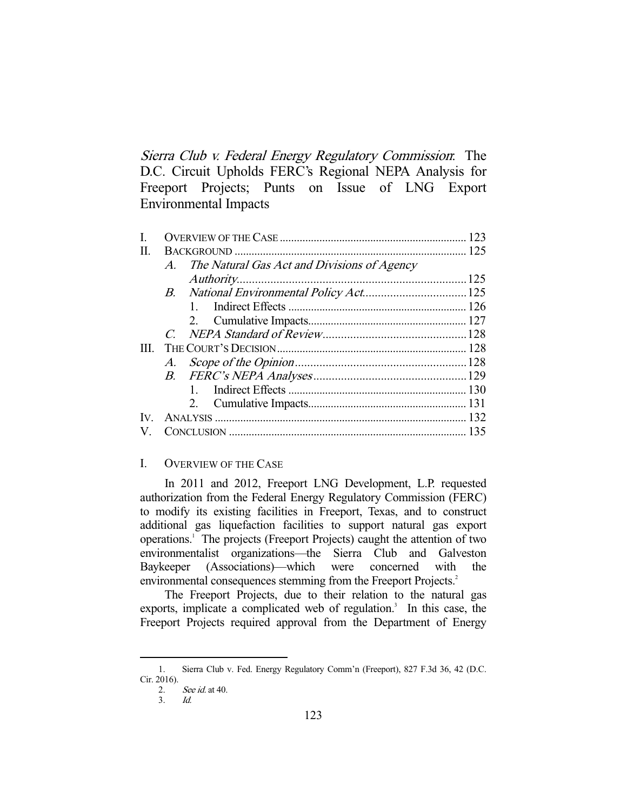Sierra Club v. Federal Energy Regulatory Commission: The D.C. Circuit Upholds FERC's Regional NEPA Analysis for Freeport Projects; Punts on Issue of LNG Export Environmental Impacts

| Н.           |          |                                             |  |
|--------------|----------|---------------------------------------------|--|
|              | $\bm{A}$ | The Natural Gas Act and Divisions of Agency |  |
|              |          |                                             |  |
|              |          |                                             |  |
|              |          |                                             |  |
|              |          |                                             |  |
|              |          |                                             |  |
| HL.          |          |                                             |  |
|              | А.       |                                             |  |
|              |          |                                             |  |
|              |          | $1 \quad$                                   |  |
|              |          |                                             |  |
| $\mathbf{V}$ |          |                                             |  |
|              |          |                                             |  |

# I. OVERVIEW OF THE CASE

 In 2011 and 2012, Freeport LNG Development, L.P. requested authorization from the Federal Energy Regulatory Commission (FERC) to modify its existing facilities in Freeport, Texas, and to construct additional gas liquefaction facilities to support natural gas export operations.<sup>1</sup> The projects (Freeport Projects) caught the attention of two environmentalist organizations—the Sierra Club and Galveston Baykeeper (Associations)—which were concerned with the environmental consequences stemming from the Freeport Projects.<sup>2</sup>

 The Freeport Projects, due to their relation to the natural gas exports, implicate a complicated web of regulation. $3$  In this case, the Freeport Projects required approval from the Department of Energy

 <sup>1.</sup> Sierra Club v. Fed. Energy Regulatory Comm'n (Freeport), 827 F.3d 36, 42 (D.C. Cir. 2016).

 <sup>2.</sup> See id. at 40.

 <sup>3.</sup> Id.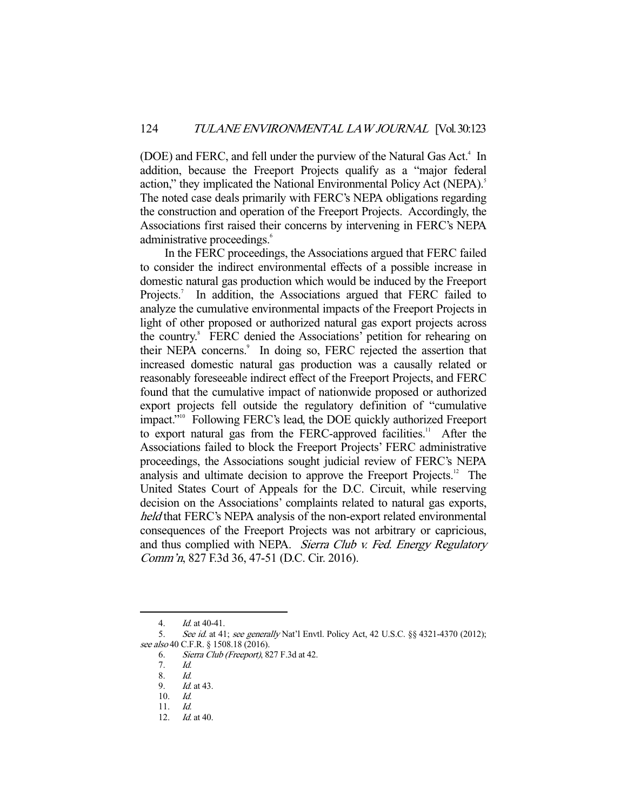(DOE) and FERC, and fell under the purview of the Natural Gas Act.<sup>4</sup> In addition, because the Freeport Projects qualify as a "major federal action," they implicated the National Environmental Policy Act (NEPA).<sup>5</sup> The noted case deals primarily with FERC's NEPA obligations regarding the construction and operation of the Freeport Projects. Accordingly, the Associations first raised their concerns by intervening in FERC's NEPA administrative proceedings.<sup>6</sup>

 In the FERC proceedings, the Associations argued that FERC failed to consider the indirect environmental effects of a possible increase in domestic natural gas production which would be induced by the Freeport Projects.<sup>7</sup> In addition, the Associations argued that FERC failed to analyze the cumulative environmental impacts of the Freeport Projects in light of other proposed or authorized natural gas export projects across the country.<sup>8</sup> FERC denied the Associations' petition for rehearing on their NEPA concerns.<sup>9</sup> In doing so, FERC rejected the assertion that increased domestic natural gas production was a causally related or reasonably foreseeable indirect effect of the Freeport Projects, and FERC found that the cumulative impact of nationwide proposed or authorized export projects fell outside the regulatory definition of "cumulative impact."<sup>10</sup> Following FERC's lead, the DOE quickly authorized Freeport to export natural gas from the FERC-approved facilities.<sup>11</sup> After the Associations failed to block the Freeport Projects' FERC administrative proceedings, the Associations sought judicial review of FERC's NEPA analysis and ultimate decision to approve the Freeport Projects.<sup>12</sup> The United States Court of Appeals for the D.C. Circuit, while reserving decision on the Associations' complaints related to natural gas exports, held that FERC's NEPA analysis of the non-export related environmental consequences of the Freeport Projects was not arbitrary or capricious, and thus complied with NEPA. Sierra Club v. Fed. Energy Regulatory Comm'n, 827 F.3d 36, 47-51 (D.C. Cir. 2016).

 <sup>4.</sup> Id. at 40-41.

<sup>5.</sup> See id. at 41; see generally Nat'l Envtl. Policy Act, 42 U.S.C. §§ 4321-4370 (2012); see also 40 C.F.R. § 1508.18 (2016).

 <sup>6.</sup> Sierra Club (Freeport), 827 F.3d at 42.

 <sup>7.</sup> Id.

 <sup>8.</sup> Id.

 <sup>9.</sup> Id. at 43.

 <sup>10.</sup> Id.

 <sup>11.</sup> Id.

 <sup>12.</sup> Id. at 40.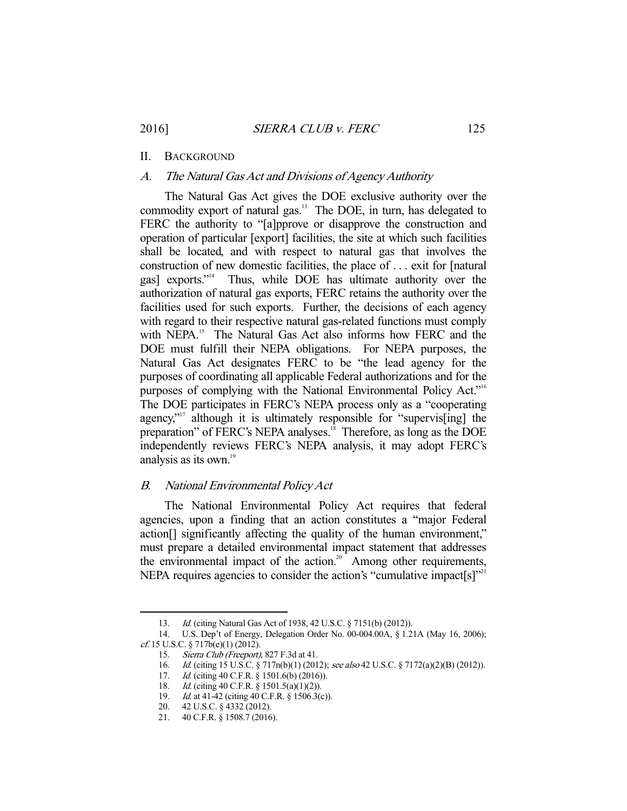# II. BACKGROUND

#### A. The Natural Gas Act and Divisions of Agency Authority

 The Natural Gas Act gives the DOE exclusive authority over the commodity export of natural gas.<sup>13</sup> The DOE, in turn, has delegated to FERC the authority to "[a]pprove or disapprove the construction and operation of particular [export] facilities, the site at which such facilities shall be located, and with respect to natural gas that involves the construction of new domestic facilities, the place of . . . exit for [natural gas] exports."14 Thus, while DOE has ultimate authority over the authorization of natural gas exports, FERC retains the authority over the facilities used for such exports. Further, the decisions of each agency with regard to their respective natural gas-related functions must comply with NEPA.<sup>15</sup> The Natural Gas Act also informs how FERC and the DOE must fulfill their NEPA obligations. For NEPA purposes, the Natural Gas Act designates FERC to be "the lead agency for the purposes of coordinating all applicable Federal authorizations and for the purposes of complying with the National Environmental Policy Act."<sup>16</sup> The DOE participates in FERC's NEPA process only as a "cooperating agency,"<sup>17</sup> although it is ultimately responsible for "supervis<sup>[ing]</sup> the preparation" of FERC's NEPA analyses.<sup>18</sup> Therefore, as long as the DOE independently reviews FERC's NEPA analysis, it may adopt FERC's analysis as its own.<sup>19</sup>

### B. National Environmental Policy Act

 The National Environmental Policy Act requires that federal agencies, upon a finding that an action constitutes a "major Federal action[] significantly affecting the quality of the human environment," must prepare a detailed environmental impact statement that addresses the environmental impact of the action.<sup>20</sup> Among other requirements, NEPA requires agencies to consider the action's "cumulative impact[s]"<sup>21</sup>

 <sup>13.</sup> Id. (citing Natural Gas Act of 1938, 42 U.S.C. § 7151(b) (2012)).

 <sup>14.</sup> U.S. Dep't of Energy, Delegation Order No. 00-004.00A, § 1.21A (May 16, 2006); cf. 15 U.S.C. § 717b(e)(1) (2012).

<sup>15.</sup> Sierra Club (Freeport), 827 F.3d at 41.<br>16. Id. (citing 15 U.S.C. § 717n(b)(1) (201 Id. (citing 15 U.S.C. § 717n(b)(1) (2012); see also 42 U.S.C. § 7172(a)(2)(B) (2012)).

<sup>17.</sup> *Id.* (citing 40 C.F.R. § 1501.6(b) (2016)).

<sup>18.</sup> *Id.* (citing 40 C.F.R. § 1501.5(a)(1)(2)).

<sup>19.</sup> *Id.* at 41-42 (citing 40 C.F.R. § 1506.3(c)).

 <sup>20. 42</sup> U.S.C. § 4332 (2012).

 <sup>21. 40</sup> C.F.R. § 1508.7 (2016).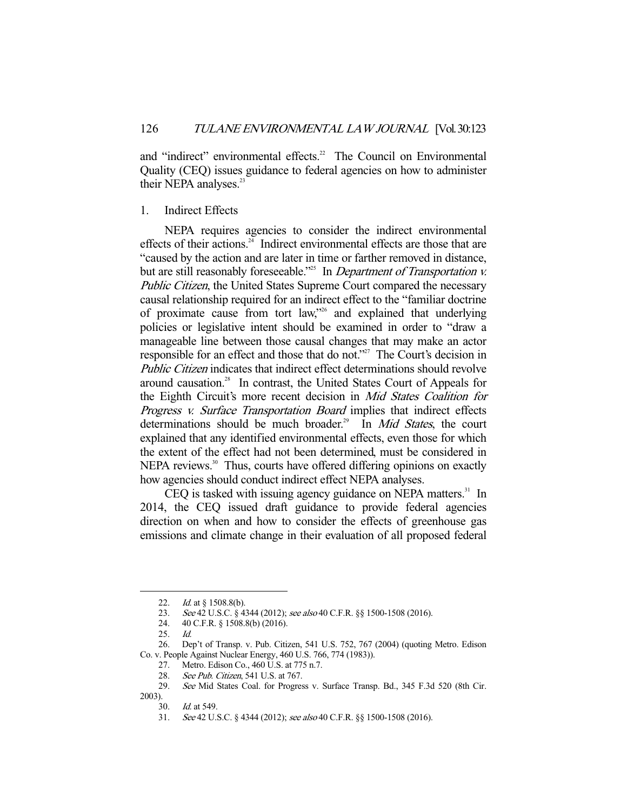and "indirect" environmental effects.<sup>22</sup> The Council on Environmental Quality (CEQ) issues guidance to federal agencies on how to administer their NEPA analyses.<sup>23</sup>

### 1. Indirect Effects

 NEPA requires agencies to consider the indirect environmental effects of their actions.<sup>24</sup> Indirect environmental effects are those that are "caused by the action and are later in time or farther removed in distance, but are still reasonably foreseeable."<sup>25</sup> In *Department of Transportation v.* Public Citizen, the United States Supreme Court compared the necessary causal relationship required for an indirect effect to the "familiar doctrine of proximate cause from tort law,"26 and explained that underlying policies or legislative intent should be examined in order to "draw a manageable line between those causal changes that may make an actor responsible for an effect and those that do not."<sup>27</sup> The Court's decision in Public Citizen indicates that indirect effect determinations should revolve around causation.28 In contrast, the United States Court of Appeals for the Eighth Circuit's more recent decision in Mid States Coalition for Progress v. Surface Transportation Board implies that indirect effects determinations should be much broader.<sup>29</sup> In *Mid States*, the court explained that any identified environmental effects, even those for which the extent of the effect had not been determined, must be considered in NEPA reviews.<sup>30</sup> Thus, courts have offered differing opinions on exactly how agencies should conduct indirect effect NEPA analyses.

CEQ is tasked with issuing agency guidance on NEPA matters.<sup>31</sup> In 2014, the CEQ issued draft guidance to provide federal agencies direction on when and how to consider the effects of greenhouse gas emissions and climate change in their evaluation of all proposed federal

27. Metro. Edison Co., 460 U.S. at 775 n.7.

<sup>22.</sup> *Id.* at § 1508.8(b).

<sup>23.</sup> See 42 U.S.C. § 4344 (2012); see also 40 C.F.R. §§ 1500-1508 (2016).

 <sup>24. 40</sup> C.F.R. § 1508.8(b) (2016).

 <sup>25.</sup> Id.

 <sup>26.</sup> Dep't of Transp. v. Pub. Citizen, 541 U.S. 752, 767 (2004) (quoting Metro. Edison Co. v. People Against Nuclear Energy, 460 U.S. 766, 774 (1983)).

<sup>28.</sup> See Pub. Citizen, 541 U.S. at 767.

 <sup>29.</sup> See Mid States Coal. for Progress v. Surface Transp. Bd., 345 F.3d 520 (8th Cir.

<sup>2003).</sup> 

 <sup>30.</sup> Id. at 549.

 <sup>31.</sup> See 42 U.S.C. § 4344 (2012); see also 40 C.F.R. §§ 1500-1508 (2016).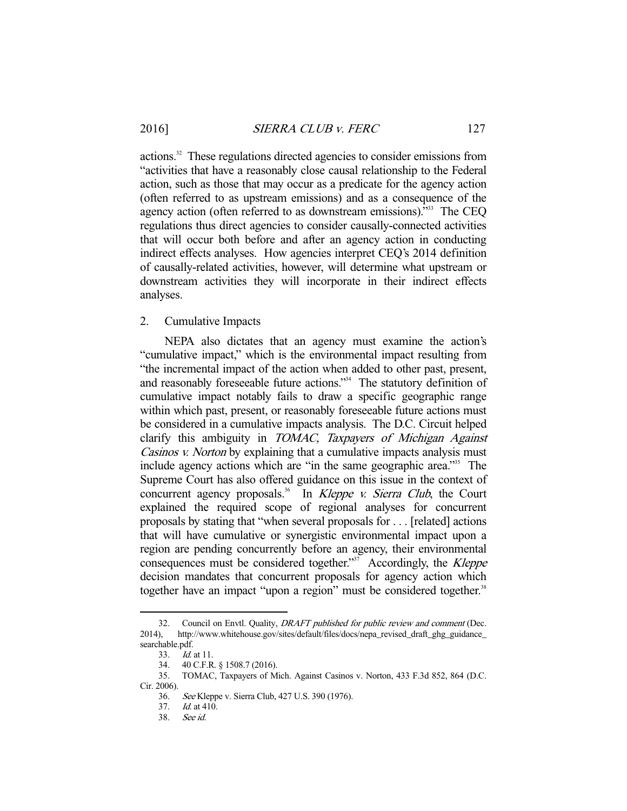actions.32 These regulations directed agencies to consider emissions from "activities that have a reasonably close causal relationship to the Federal action, such as those that may occur as a predicate for the agency action (often referred to as upstream emissions) and as a consequence of the agency action (often referred to as downstream emissions).<sup>333</sup> The CEQ regulations thus direct agencies to consider causally-connected activities that will occur both before and after an agency action in conducting indirect effects analyses. How agencies interpret CEQ's 2014 definition of causally-related activities, however, will determine what upstream or downstream activities they will incorporate in their indirect effects analyses.

## 2. Cumulative Impacts

 NEPA also dictates that an agency must examine the action's "cumulative impact," which is the environmental impact resulting from "the incremental impact of the action when added to other past, present, and reasonably foreseeable future actions."<sup>34</sup> The statutory definition of cumulative impact notably fails to draw a specific geographic range within which past, present, or reasonably fore seeable future actions must be considered in a cumulative impacts analysis. The D.C. Circuit helped clarify this ambiguity in TOMAC, Taxpayers of Michigan Against Casinos v. Norton by explaining that a cumulative impacts analysis must include agency actions which are "in the same geographic area."35 The Supreme Court has also offered guidance on this issue in the context of concurrent agency proposals.<sup>36</sup> In *Kleppe v. Sierra Club*, the Court explained the required scope of regional analyses for concurrent proposals by stating that "when several proposals for . . . [related] actions that will have cumulative or synergistic environmental impact upon a region are pending concurrently before an agency, their environmental consequences must be considered together."<sup>37</sup> Accordingly, the *Kleppe* decision mandates that concurrent proposals for agency action which together have an impact "upon a region" must be considered together.<sup>38</sup>

<sup>32.</sup> Council on Envtl. Quality, DRAFT published for public review and comment (Dec. 2014), http://www.whitehouse.gov/sites/default/files/docs/nepa\_revised\_draft\_ghg\_guidance\_ searchable.pdf.

 <sup>33.</sup> Id. at 11.

 <sup>34. 40</sup> C.F.R. § 1508.7 (2016).

 <sup>35.</sup> TOMAC, Taxpayers of Mich. Against Casinos v. Norton, 433 F.3d 852, 864 (D.C. Cir. 2006).

 <sup>36.</sup> See Kleppe v. Sierra Club, 427 U.S. 390 (1976).

<sup>37.</sup> *Id.* at  $410$ .

 <sup>38.</sup> See id.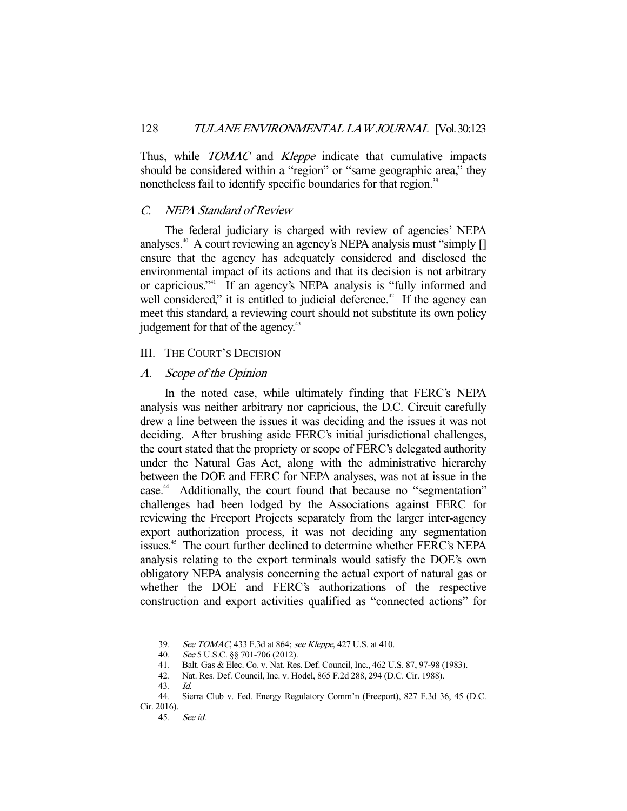Thus, while *TOMAC* and *Kleppe* indicate that cumulative impacts should be considered within a "region" or "same geographic area," they nonetheless fail to identify specific boundaries for that region.<sup>39</sup>

### C. NEPA Standard of Review

 The federal judiciary is charged with review of agencies' NEPA analyses.<sup>40</sup> A court reviewing an agency's NEPA analysis must "simply [] ensure that the agency has adequately considered and disclosed the environmental impact of its actions and that its decision is not arbitrary or capricious."<sup>41</sup> If an agency's NEPA analysis is "fully informed and well considered," it is entitled to judicial deference.<sup>42</sup> If the agency can meet this standard, a reviewing court should not substitute its own policy judgement for that of the agency.<sup>43</sup>

#### III. THE COURT'S DECISION

### A. Scope of the Opinion

 In the noted case, while ultimately finding that FERC's NEPA analysis was neither arbitrary nor capricious, the D.C. Circuit carefully drew a line between the issues it was deciding and the issues it was not deciding. After brushing aside FERC's initial jurisdictional challenges, the court stated that the propriety or scope of FERC's delegated authority under the Natural Gas Act, along with the administrative hierarchy between the DOE and FERC for NEPA analyses, was not at issue in the case.<sup>44</sup> Additionally, the court found that because no "segmentation" challenges had been lodged by the Associations against FERC for reviewing the Freeport Projects separately from the larger inter-agency export authorization process, it was not deciding any segmentation issues.<sup>45</sup> The court further declined to determine whether FERC's NEPA analysis relating to the export terminals would satisfy the DOE's own obligatory NEPA analysis concerning the actual export of natural gas or whether the DOE and FERC's authorizations of the respective construction and export activities qualified as "connected actions" for

 <sup>39.</sup> See TOMAC, 433 F.3d at 864; see Kleppe, 427 U.S. at 410.

 <sup>40.</sup> See 5 U.S.C. §§ 701-706 (2012).

 <sup>41.</sup> Balt. Gas & Elec. Co. v. Nat. Res. Def. Council, Inc., 462 U.S. 87, 97-98 (1983).

Nat. Res. Def. Council, Inc. v. Hodel, 865 F.2d 288, 294 (D.C. Cir. 1988).

 <sup>43.</sup> Id.

 <sup>44.</sup> Sierra Club v. Fed. Energy Regulatory Comm'n (Freeport), 827 F.3d 36, 45 (D.C. Cir. 2016).

 <sup>45.</sup> See id.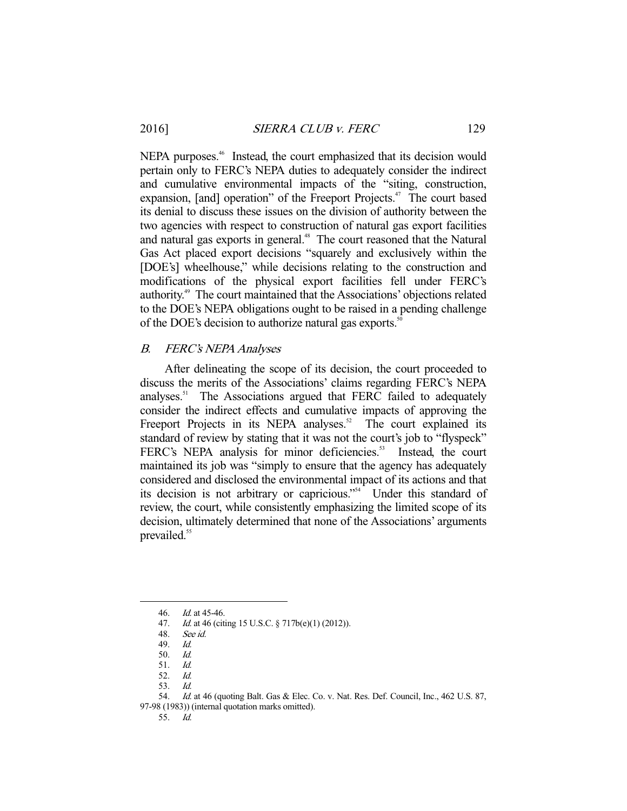NEPA purposes.<sup>46</sup> Instead, the court emphasized that its decision would pertain only to FERC's NEPA duties to adequately consider the indirect and cumulative environmental impacts of the "siting, construction, expansion, [and] operation" of the Freeport Projects.<sup>47</sup> The court based its denial to discuss these issues on the division of authority between the two agencies with respect to construction of natural gas export facilities and natural gas exports in general.<sup>48</sup> The court reasoned that the Natural Gas Act placed export decisions "squarely and exclusively within the [DOE's] wheelhouse," while decisions relating to the construction and modifications of the physical export facilities fell under FERC's authority.49 The court maintained that the Associations' objections related to the DOE's NEPA obligations ought to be raised in a pending challenge of the DOE's decision to authorize natural gas exports.<sup>50</sup>

## B. FERC's NEPA Analyses

 After delineating the scope of its decision, the court proceeded to discuss the merits of the Associations' claims regarding FERC's NEPA analyses.<sup>51</sup> The Associations argued that FERC failed to adequately consider the indirect effects and cumulative impacts of approving the Freeport Projects in its NEPA analyses. $52$  The court explained its standard of review by stating that it was not the court's job to "flyspeck" FERC's NEPA analysis for minor deficiencies.<sup>53</sup> Instead, the court maintained its job was "simply to ensure that the agency has adequately considered and disclosed the environmental impact of its actions and that its decision is not arbitrary or capricious."54 Under this standard of review, the court, while consistently emphasizing the limited scope of its decision, ultimately determined that none of the Associations' arguments prevailed.<sup>55</sup>

-

54. Id. at 46 (quoting Balt. Gas & Elec. Co. v. Nat. Res. Def. Council, Inc., 462 U.S. 87,

97-98 (1983)) (internal quotation marks omitted).

 <sup>46.</sup> Id. at 45-46.

 <sup>47.</sup> Id. at 46 (citing 15 U.S.C. § 717b(e)(1) (2012)).

 <sup>48.</sup> See id.

 <sup>49.</sup> Id.

 <sup>50.</sup> Id.

 <sup>51.</sup> Id.

 <sup>52.</sup> Id.

 <sup>53.</sup> Id.

 <sup>55.</sup> Id.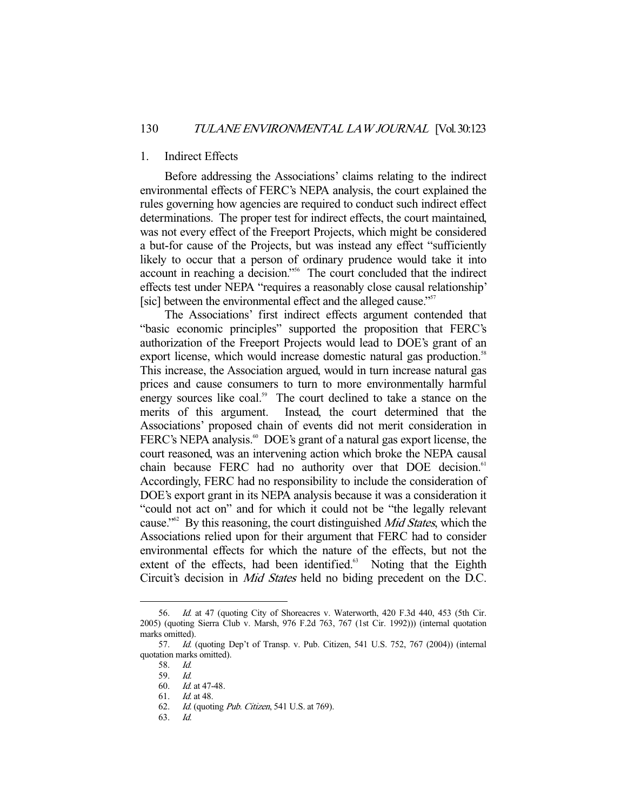#### 1. Indirect Effects

 Before addressing the Associations' claims relating to the indirect environmental effects of FERC's NEPA analysis, the court explained the rules governing how agencies are required to conduct such indirect effect determinations. The proper test for indirect effects, the court maintained, was not every effect of the Freeport Projects, which might be considered a but-for cause of the Projects, but was instead any effect "sufficiently likely to occur that a person of ordinary prudence would take it into account in reaching a decision."56 The court concluded that the indirect effects test under NEPA "requires a reasonably close causal relationship' [sic] between the environmental effect and the alleged cause."<sup>57</sup>

 The Associations' first indirect effects argument contended that "basic economic principles" supported the proposition that FERC's authorization of the Freeport Projects would lead to DOE's grant of an export license, which would increase domestic natural gas production.<sup>58</sup> This increase, the Association argued, would in turn increase natural gas prices and cause consumers to turn to more environmentally harmful energy sources like coal.<sup>59</sup> The court declined to take a stance on the merits of this argument. Instead, the court determined that the Associations' proposed chain of events did not merit consideration in FERC's NEPA analysis.<sup>60</sup> DOE's grant of a natural gas export license, the court reasoned, was an intervening action which broke the NEPA causal chain because FERC had no authority over that DOE decision.<sup>61</sup> Accordingly, FERC had no responsibility to include the consideration of DOE's export grant in its NEPA analysis because it was a consideration it "could not act on" and for which it could not be "the legally relevant cause."<sup>62</sup> By this reasoning, the court distinguished *Mid States*, which the Associations relied upon for their argument that FERC had to consider environmental effects for which the nature of the effects, but not the extent of the effects, had been identified.<sup>63</sup> Noting that the Eighth Circuit's decision in Mid States held no biding precedent on the D.C.

-

63. Id.

 <sup>56.</sup> Id. at 47 (quoting City of Shoreacres v. Waterworth, 420 F.3d 440, 453 (5th Cir. 2005) (quoting Sierra Club v. Marsh, 976 F.2d 763, 767 (1st Cir. 1992))) (internal quotation marks omitted).

 <sup>57.</sup> Id. (quoting Dep't of Transp. v. Pub. Citizen, 541 U.S. 752, 767 (2004)) (internal quotation marks omitted).

 <sup>58.</sup> Id.

 <sup>59.</sup> Id.

 <sup>60.</sup> Id. at 47-48.

 <sup>61.</sup> Id. at 48.

 <sup>62.</sup> Id. (quoting Pub. Citizen, 541 U.S. at 769).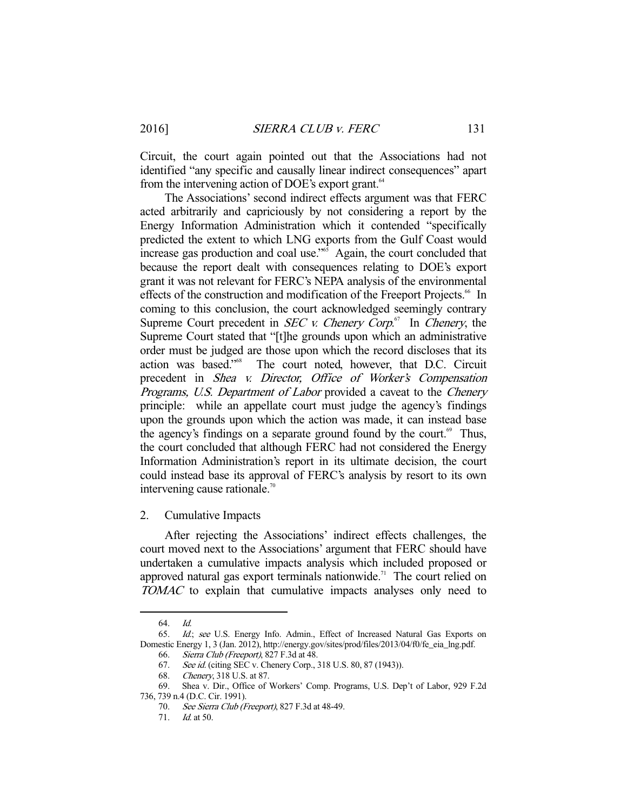Circuit, the court again pointed out that the Associations had not identified "any specific and causally linear indirect consequences" apart from the intervening action of DOE's export grant.<sup>64</sup>

 The Associations' second indirect effects argument was that FERC acted arbitrarily and capriciously by not considering a report by the Energy Information Administration which it contended "specifically predicted the extent to which LNG exports from the Gulf Coast would increase gas production and coal use." $\delta$  Again, the court concluded that because the report dealt with consequences relating to DOE's export grant it was not relevant for FERC's NEPA analysis of the environmental effects of the construction and modification of the Freeport Projects.<sup>66</sup> In coming to this conclusion, the court acknowledged seemingly contrary Supreme Court precedent in *SEC v. Chenery Corp*.<sup>67</sup> In *Chenery*, the Supreme Court stated that "[t]he grounds upon which an administrative order must be judged are those upon which the record discloses that its action was based."68 The court noted, however, that D.C. Circuit precedent in Shea v. Director, Office of Worker's Compensation Programs, U.S. Department of Labor provided a caveat to the Chenery principle: while an appellate court must judge the agency's findings upon the grounds upon which the action was made, it can instead base the agency's findings on a separate ground found by the court.<sup>69</sup> Thus, the court concluded that although FERC had not considered the Energy Information Administration's report in its ultimate decision, the court could instead base its approval of FERC's analysis by resort to its own intervening cause rationale.<sup>70</sup>

2. Cumulative Impacts

 After rejecting the Associations' indirect effects challenges, the court moved next to the Associations' argument that FERC should have undertaken a cumulative impacts analysis which included proposed or approved natural gas export terminals nationwide.<sup>71</sup> The court relied on TOMAC to explain that cumulative impacts analyses only need to

 <sup>64.</sup> Id.

 <sup>65.</sup> Id.; see U.S. Energy Info. Admin., Effect of Increased Natural Gas Exports on Domestic Energy 1, 3 (Jan. 2012), http://energy.gov/sites/prod/files/2013/04/f0/fe\_eia\_lng.pdf.

<sup>66.</sup> Sierra Club (Freeport), 827 F.3d at 48.<br>67. See id. (citing SEC v. Chenery Corp., 3

See id. (citing SEC v. Chenery Corp., 318 U.S. 80, 87 (1943)).

<sup>68.</sup> *Chenery*, 318 U.S. at 87.<br>69. Shea v. Dir., Office of Shea v. Dir., Office of Workers' Comp. Programs, U.S. Dep't of Labor, 929 F.2d

<sup>736, 739</sup> n.4 (D.C. Cir. 1991).

 <sup>70.</sup> See Sierra Club (Freeport), 827 F.3d at 48-49.

 <sup>71.</sup> Id. at 50.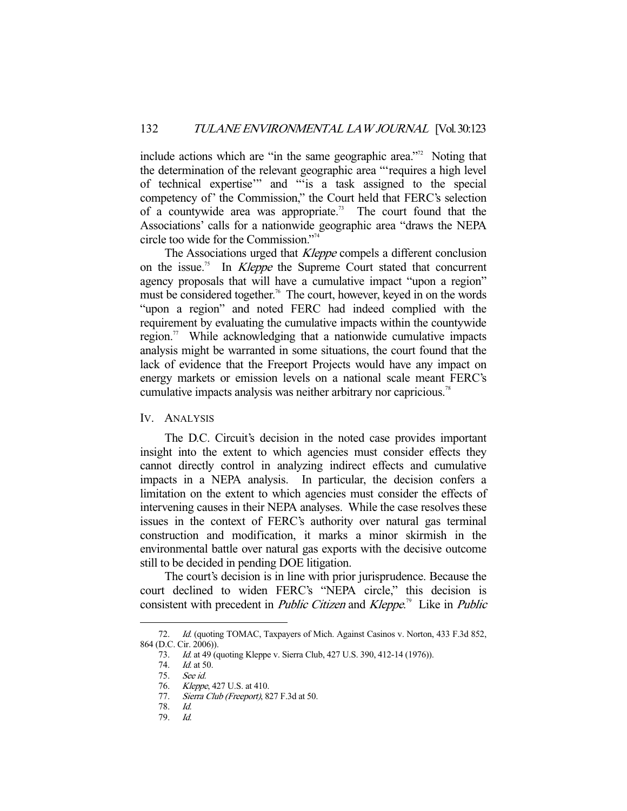include actions which are "in the same geographic area."<sup>72</sup> Noting that the determination of the relevant geographic area "'requires a high level of technical expertise'" and "'is a task assigned to the special competency of' the Commission," the Court held that FERC's selection of a countywide area was appropriate.<sup>73</sup> The court found that the Associations' calls for a nationwide geographic area "draws the NEPA circle too wide for the Commission."74

The Associations urged that *Kleppe* compels a different conclusion on the issue.<sup>75</sup> In *Kleppe* the Supreme Court stated that concurrent agency proposals that will have a cumulative impact "upon a region" must be considered together.<sup>76</sup> The court, however, keyed in on the words "upon a region" and noted FERC had indeed complied with the requirement by evaluating the cumulative impacts within the countywide region.<sup>77</sup> While acknowledging that a nationwide cumulative impacts analysis might be warranted in some situations, the court found that the lack of evidence that the Freeport Projects would have any impact on energy markets or emission levels on a national scale meant FERC's cumulative impacts analysis was neither arbitrary nor capricious.<sup>78</sup>

IV. ANALYSIS

 The D.C. Circuit's decision in the noted case provides important insight into the extent to which agencies must consider effects they cannot directly control in analyzing indirect effects and cumulative impacts in a NEPA analysis. In particular, the decision confers a limitation on the extent to which agencies must consider the effects of intervening causes in their NEPA analyses. While the case resolves these issues in the context of FERC's authority over natural gas terminal construction and modification, it marks a minor skirmish in the environmental battle over natural gas exports with the decisive outcome still to be decided in pending DOE litigation.

 The court's decision is in line with prior jurisprudence. Because the court declined to widen FERC's "NEPA circle," this decision is consistent with precedent in *Public Citizen* and *Kleppe*.<sup>79</sup> Like in *Public* 

<sup>72.</sup> *Id.* (quoting TOMAC, Taxpayers of Mich. Against Casinos v. Norton, 433 F.3d 852, 864 (D.C. Cir. 2006)).

 <sup>73.</sup> Id. at 49 (quoting Kleppe v. Sierra Club, 427 U.S. 390, 412-14 (1976)).

<sup>74.</sup> *Id.* at 50.

 <sup>75.</sup> See id.

<sup>76.</sup> *Kleppe*, 427 U.S. at 410.

<sup>77.</sup> Sierra Club (Freeport), 827 F.3d at 50.

 <sup>78.</sup> Id.

 <sup>79.</sup> Id.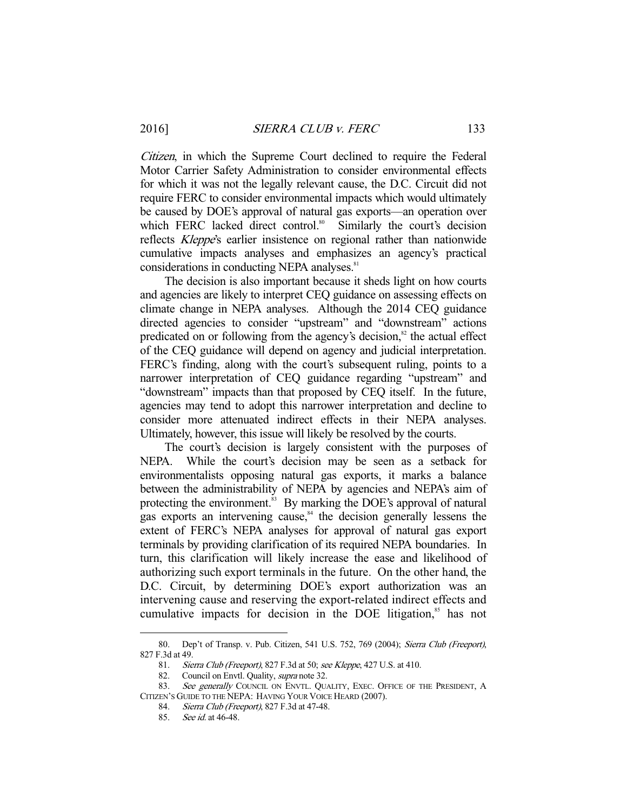Citizen, in which the Supreme Court declined to require the Federal Motor Carrier Safety Administration to consider environmental effects for which it was not the legally relevant cause, the D.C. Circuit did not require FERC to consider environmental impacts which would ultimately be caused by DOE's approval of natural gas exports—an operation over which FERC lacked direct control.<sup>80</sup> Similarly the court's decision reflects *Kleppe's* earlier insistence on regional rather than nationwide cumulative impacts analyses and emphasizes an agency's practical considerations in conducting NEPA analyses.<sup>81</sup>

 The decision is also important because it sheds light on how courts and agencies are likely to interpret CEQ guidance on assessing effects on climate change in NEPA analyses. Although the 2014 CEQ guidance directed agencies to consider "upstream" and "downstream" actions predicated on or following from the agency's decision, $\frac{82}{3}$  the actual effect of the CEQ guidance will depend on agency and judicial interpretation. FERC's finding, along with the court's subsequent ruling, points to a narrower interpretation of CEQ guidance regarding "upstream" and "downstream" impacts than that proposed by CEQ itself. In the future, agencies may tend to adopt this narrower interpretation and decline to consider more attenuated indirect effects in their NEPA analyses. Ultimately, however, this issue will likely be resolved by the courts.

 The court's decision is largely consistent with the purposes of NEPA. While the court's decision may be seen as a setback for environmentalists opposing natural gas exports, it marks a balance between the administrability of NEPA by agencies and NEPA's aim of protecting the environment.<sup>83</sup> By marking the DOE's approval of natural gas exports an intervening cause, $84$  the decision generally lessens the extent of FERC's NEPA analyses for approval of natural gas export terminals by providing clarification of its required NEPA boundaries. In turn, this clarification will likely increase the ease and likelihood of authorizing such export terminals in the future. On the other hand, the D.C. Circuit, by determining DOE's export authorization was an intervening cause and reserving the export-related indirect effects and cumulative impacts for decision in the DOE litigation,<sup>85</sup> has not

<sup>80.</sup> Dep't of Transp. v. Pub. Citizen, 541 U.S. 752, 769 (2004); Sierra Club (Freeport), 827 F.3d at 49.

 <sup>81.</sup> Sierra Club (Freeport), 827 F.3d at 50; see Kleppe, 427 U.S. at 410.

<sup>82.</sup> Council on Envtl. Quality, *supra* note 32.<br>83. See generally COUNCIL ON ENVTL. OU.

See generally COUNCIL ON ENVTL. QUALITY, EXEC. OFFICE OF THE PRESIDENT, A CITIZEN'S GUIDE TO THE NEPA: HAVING YOUR VOICE HEARD (2007).

 <sup>84.</sup> Sierra Club (Freeport), 827 F.3d at 47-48.

 <sup>85.</sup> See id. at 46-48.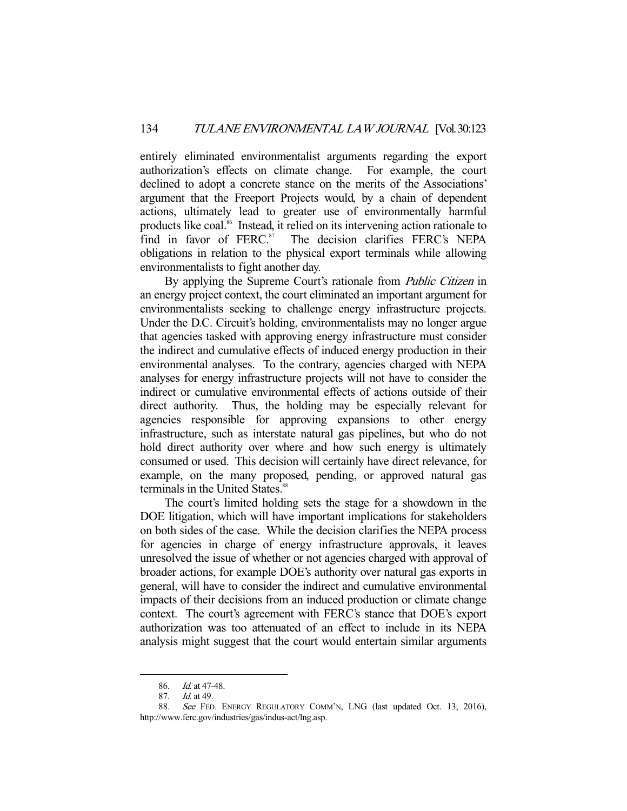entirely eliminated environmentalist arguments regarding the export authorization's effects on climate change. For example, the court declined to adopt a concrete stance on the merits of the Associations' argument that the Freeport Projects would, by a chain of dependent actions, ultimately lead to greater use of environmentally harmful products like coal.86 Instead, it relied on its intervening action rationale to find in favor of  $FERC<sup>87</sup>$  The decision clarifies  $FERC<sup>8</sup>$  NEPA obligations in relation to the physical export terminals while allowing environmentalists to fight another day.

By applying the Supreme Court's rationale from *Public Citizen* in an energy project context, the court eliminated an important argument for environmentalists seeking to challenge energy infrastructure projects. Under the D.C. Circuit's holding, environmentalists may no longer argue that agencies tasked with approving energy infrastructure must consider the indirect and cumulative effects of induced energy production in their environmental analyses. To the contrary, agencies charged with NEPA analyses for energy infrastructure projects will not have to consider the indirect or cumulative environmental effects of actions outside of their direct authority. Thus, the holding may be especially relevant for agencies responsible for approving expansions to other energy infrastructure, such as interstate natural gas pipelines, but who do not hold direct authority over where and how such energy is ultimately consumed or used. This decision will certainly have direct relevance, for example, on the many proposed, pending, or approved natural gas terminals in the United States.<sup>88</sup>

 The court's limited holding sets the stage for a showdown in the DOE litigation, which will have important implications for stakeholders on both sides of the case. While the decision clarifies the NEPA process for agencies in charge of energy infrastructure approvals, it leaves unresolved the issue of whether or not agencies charged with approval of broader actions, for example DOE's authority over natural gas exports in general, will have to consider the indirect and cumulative environmental impacts of their decisions from an induced production or climate change context. The court's agreement with FERC's stance that DOE's export authorization was too attenuated of an effect to include in its NEPA analysis might suggest that the court would entertain similar arguments

 <sup>86.</sup> Id. at 47-48.

 <sup>87.</sup> Id. at 49.

 <sup>88.</sup> See FED. ENERGY REGULATORY COMM'N, LNG (last updated Oct. 13, 2016), http://www.ferc.gov/industries/gas/indus-act/lng.asp.